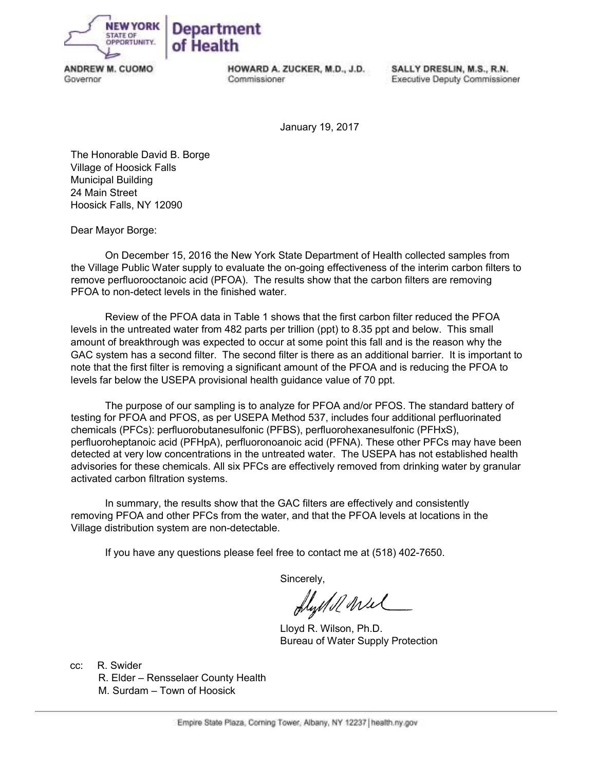

ANDREW M. CUOMO Governor

HOWARD A. ZUCKER, M.D., J.D. Commissioner

SALLY DRESLIN, M.S., R.N. Executive Deputy Commissioner

January 19, 2017

The Honorable David B. Borge Village of Hoosick Falls Municipal Building 24 Main Street Hoosick Falls, NY 12090

Dear Mayor Borge:

On December 15, 2016 the New York State Department of Health collected samples from the Village Public Water supply to evaluate the on-going effectiveness of the interim carbon filters to remove perfluorooctanoic acid (PFOA). The results show that the carbon filters are removing PFOA to non-detect levels in the finished water.

Review of the PFOA data in Table 1 shows that the first carbon filter reduced the PFOA levels in the untreated water from 482 parts per trillion (ppt) to 8.35 ppt and below. This small amount of breakthrough was expected to occur at some point this fall and is the reason why the GAC system has a second filter. The second filter is there as an additional barrier. It is important to note that the first filter is removing a significant amount of the PFOA and is reducing the PFOA to levels far below the USEPA provisional health guidance value of 70 ppt.

The purpose of our sampling is to analyze for PFOA and/or PFOS. The standard battery of testing for PFOA and PFOS, as per USEPA Method 537, includes four additional perfluorinated chemicals (PFCs): perfluorobutanesulfonic (PFBS), perfluorohexanesulfonic (PFHxS), perfluoroheptanoic acid (PFHpA), perfluoronoanoic acid (PFNA). These other PFCs may have been detected at very low concentrations in the untreated water. The USEPA has not established health advisories for these chemicals. All six PFCs are effectively removed from drinking water by granular activated carbon filtration systems.

In summary, the results show that the GAC filters are effectively and consistently removing PFOA and other PFCs from the water, and that the PFOA levels at locations in the Village distribution system are non-detectable.

If you have any questions please feel free to contact me at (518) 402-7650.

Sincerely,

flystell wel

 Lloyd R. Wilson, Ph.D. Bureau of Water Supply Protection

cc: R. Swider

 R. Elder – Rensselaer County Health M. Surdam – Town of Hoosick